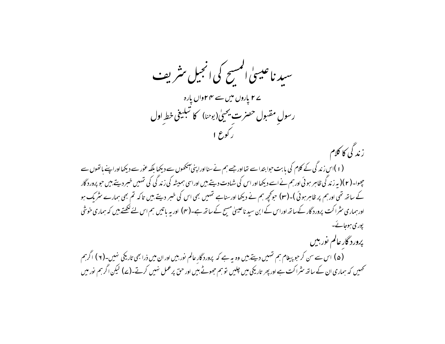سید ناعیسیٰ المسح کی انجیل مثریف **ے ۲ یاروں میں سے ۴۴واں پارہ** رسولِ مقبول حصرت يحيىٰ(يوحنا) كا تبليغى خط اول زندگی کا کلام (۱)اس زندگی کے کلام کی بابت حوا بتدا سے تھااور جسے ہم نے سنااوراپنی آنکھوں سے دیکھا بلکہ عور سے دیکھااوراپنے باتھوں سے جھوا۔( ۲ )( بیرزند گی ظاہر ہوئی اورہم نے اسے دیکھا اور اس کی شہادت دیتے،میں اوراسی ہمیشہ کی زند گی کی تہمیں خبر دیتے،میں حو پرورد گار کے ساتھ تھی اورہم پر ظاہر ہوئی )۔(۳) حوکچھ ہم نے دیکھا اورسناہے تہیں بھی اس کی خبر دیتے ہیں تاکہ تم بھی ہمارے سثر مک ہو اور ہماری سٹراکت پرورد گار کےساتھ اوراس کے ابن سید ناعیسیٰ مسیح کے ساتھ ہے۔( ۴) اور یہ باتیں ہم اس لئے کھتے بیں کہ ہماری خوشی یوری ہوجانے۔ پرورد گار عالم نور بين (۵) اس سے سن کر حبوبییغام ہم تہیں دیتے ہیں وہ یہ ہے کہ پرورد گار عالم نور بیں اور ان میں ذرا بھی تاریکی ہنیں۔(۲) اگرہم تحہیں کہ ہماری ان کے ساتھ سٹراکت ہے اور پھر تاریخی میں چلیں قوسم جھوٹے بیں اور حق پرعمل نہیں کرتے۔(ے) لیکن اگر ہم نور میں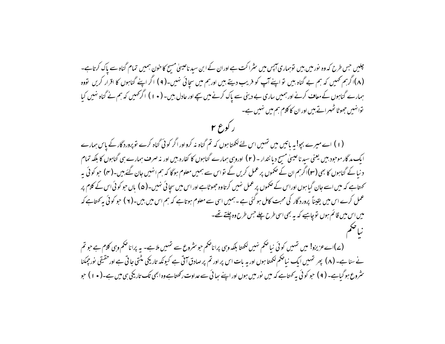چلیں جس طرح کہ وہ نور میں بیں توہماری آپس میں سٹراکت ہے اوران کے ابن سید ناعیسیٰ مسح کا خون ہمیں تمام گناہ سے پاک کرتاہے۔ (۸)اگرہم ٹھمیں کہ ہم بے گناہ بیں تو اپنے آپ کو فریب دیتے ہیں اورہم میں سچائی نہیں۔(۹) اگر اپنے گناہوں کا اقرار کریں تووہ ہمارے گناہوں کے معاف کرنے اور ہمیں ساری بے دینی سے پاک کرنے میں سچے اور عادل بیں۔ ( • ۱ ) اگر تھمیں کہ ہم نے گناہ نہیں کیا توا نہیں جھوٹا ٹھہراتے ہیں اور ان کا کلام ہم میں نہیں ہے۔

ں کو ع ۲

(۱) اسے میرے بچو! بہ پاتیں میں تہمیں اس لئے لکھتا ہوں کہ تم گناہ نہ کرواور اگر کوئی گناہ کرے توپروردگار کے پاس ہمارے ایک مد گار موجود بیں یعنی سید ناعیسیٰ مسح دیا نتدار – ( ۲ ) اوروسی ہمارے گناہوں کا کفارہ بیں اور نہ صرف ہمارے ہی گناہوں کا بلکہ تمام د نیا کے گناہوں کا بھی (۳)اگرہم ان کے صحموں پر عمل کریں گے تواس سے ہمیں معلوم ہوگا کہ ہم انہیں جان گئے ہیں۔(۴) حو کوئی یہ <sup>س</sup>حمتاہے کہ میں اسے جان گیا ہوں اوراس کے صحموں پر عمل نہیں کرتا وہ جھوٹاہے اور اس میں سجا ئی نہیں۔(ھ) باں حبو کوئی اس کے کلام پر عمل کرے اس میں یقیناً پرورد گار کی محبت کامل ہو گئی ہے۔ہمیں اسی سے معلوم ہوتاہے کہ ہم اس میں بیں۔( ۲ ) حبو کوئی یہ کھتاہے کہ میں اس میں قائم ہوں توجاہیے کہ یہ بھی اسی طرح چلے جس طرح وہ چلتے تھے۔

(ے)اےعزیزو! میں تہیں کوئی نیا صحم نہیں لکھتا بلکہ وہی پراناصحم حو سثروع سے تہیں ملاہے۔ یہ پراناصحم وہی کلام ہے حو تم نے سنا ہے۔ ( ۸ ) پھر تہیں ایک نیاضکم لکھتا ہوں اور یہ بات اس پر اور تم پر صادق آتی ہے کیونکہ تاریکی مٹتی جاتی ہے اور حقیقی نور جمکنا سٹروع ہو گیاہے۔ ( ۹ ) حو کوئی یہ کھتاہے کہ میں نور میں ہوں اور اپنے سِائی سے عداوت رکھتاہے وہ ابھی تک تاریخی ہی میں ہے۔( ۰ ۱ ) حو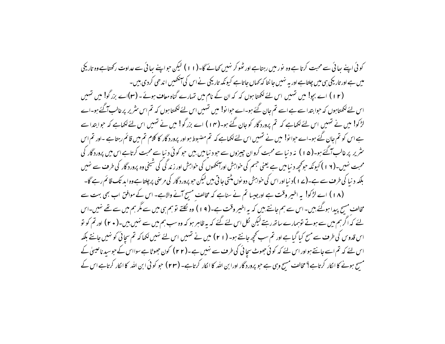کوئی اپنے سائی سے محبت کرتا ہے وہ پور میں رہتاہے اور ٹھو کر نہیں کھانے گا۔(۱۱) لیکن حواینے سائی سے عداوت رکھتاہے وہ تاریکی میں ہے اور تاریکی ہی میں چلتاہے اور بہ نہیں جا نتا کہ کہاں جاتاہے کیونکہ تاریکی نے اس کی انکھیں اندھی کردی ہیں۔

(۱۲) اسے بجو! میں تہیں اس لئے لکھتا ہوں کہ کہ ان کے نام میں تہارے گناہ معاف ہوئے۔(۳)اے بزرگو! میں تہیں اس لئے لکھتا ہوں کہ حوا بتدا سے ہے اسے تم جان گئے ہو۔اے حوالو! میں تہیں اس لئے لکھتا ہوں کہ تم اس سٹریر پر غالب آگئے ہو۔اے لڑکو! میں نے تہیں اس لئے لکھاہے کہ تم پرورد گار کو جان گئے ہو۔(۱۴) اے بزرگو! میں نے تہیں اس لئے لکھاہے کہ حوابتدا سے ہے اس کو تم جان گئے ہو۔اے حوا نو! میں نے تہیں اس لئے لکھاہے کہ تم مضبوط ہو اور پرورد گار کا کلام تم میں قائم رہتاہے ۔اور تم اس سٹریر پر غالب آگئے ہو۔( ۵ ا ) نہ د نیا سے محبت کروان جیپزوں سے حبو د نیامیں بیں حبو کوئی د نیا سے محبت کرتاہے اس میں پرورد گار کی محبت نہیں۔(۱ ۱ ) کیونکہ حوکچھ د نیامیں ہے یعنی جسم کی خواہش اورآنکھوں کی خواہش اور زند گی کی شیخی وہ پرورد گار کی طرف سے نہیں بلکہ دنیا کی طرف سے ہے۔(ے ۱ )دنیااوراس کی خواہش دونوں مڈتی جاتی ہیں لیکن حو پرورد گار کی مرضی پر چلتا ہے وہ اید تک قائم رہے گا۔ (۱۸) اے لڑکو! یہ اخیبر وقت ہے اورجیسا تم نے سناہے کہ مخالف مسح آنے والاہے۔ اس کے موافق اب بھی بہت سے مخالف مسح پیدا ہوگئے،میں۔ اس سے ہم جانتے ہیں کہ یہ اخیر وقت ہے۔( ۹ ) وہ لکتے تو ہم ہی میں سے مگر ہم میں سے تھے نہیں۔اس یئے کہ اگر ہم میں سے ہوتے توہمارے ساتھ رہتے لیکن لکل اس لئے گئے کہ بہ ظاہر ہو کہ وہ سب ہم میں سے نہیں،میں۔( + ٢) اور تم کو تو اس قدوس کی طرف سے مسح کیا گیا ہے اور تم سب تحچھ جانتے ہو۔ ( ۲۱ ) میں نے تہیں اس لئے نہیں لکھا کہ تم سچائی کو نہیں جانتے بلکہ اس لئے کہ تم اسے جانتے ہواور اس لئے کہ کوئی جھوٹ سچائی کی طرف سے نہیں ہے۔(۲۲) کون جھوٹا ہے سوااس کے حوسید ناعیسیٰ کے مسج ہونے کا الکار کرتاہے؟ مخالف مسیح وہی ہے جو پرورد گار اورا بن اللہ کا الکار کرتاہے۔ (۲۳) حبو کوئی ابن اللہ کا الکار کرتاہے اس کے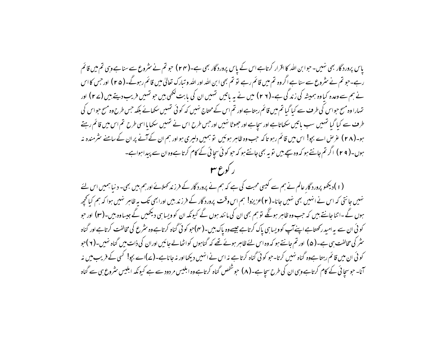یاس پرورد گار بھی نہیں۔حبوا بن اللہ کا اقرار کرتاہے اس کے پاس پرورد گار بھی ہے۔(۲۴) حبو تم نے سٹروع سے سناہےوہی تم میں قائم رہے۔حو تم نے سٹروع سے سنا ہے اگروہ تم میں قائم رہے تو تم بھی ابن اللہ اور اللہ و تبارک تعالیٰ میں قائم رہوگے۔( م ۲ ) اورحس کااس نے ہم سے وعدہ کیاوہ ہمیشہ کی زند گی ہے۔(۲۶) میں نے یہ باتیں تہیں ان کی بابت لکھی بیں حو تہیں فریب دیتے ہیں (۲۷) اور تہارا وہ مسح حواس کی طرف سے کیا گیا تم میں قائم رہتاہے اور تم اس کے محتاج نہیں کہ کوئی تہیں سکھانے بلکہ حس طرح وہ مسح حواس کی طرف سے کبا گیا نتہیں سب باتیں سکھاتاہے اور سچاہے اور جھوٹا نہیں اور حس طرح اس نے نتہیں سکھایا اسی طرح تم اس میں قائم رہتے ہو۔(۲۸) عرِّ ص اے بجو! اس میں قائم رہو تاکہ حب وہ ظاہر ہوئیں ۔تو ہمیں دلیری ہواور ہم ان کےآنے پر ان کے سامنے سرمندہ نہ ہوں۔( ۲ ۹ ) اگر تم جانتے ہو کہ وہ سچے ہیں تو یہ بھی جانتے ہو کہ حو کوئی سچائی کے کام کرتا ہےوہ ان سے پیدا ہواہے۔ ر کورع میں

(۱)دیکھو پرورد گار عالم نے ہم سے کیسی محبت کی ہے کہ ہم نے پرورد گار کے فر زند کھلائے اور ہم بیں بھی۔ دنیا ہمیں اس لئے نہیں جانتی کہ اس نے انہیں بھی نہیں جانا۔( ۲ )عزیزو! ہم اس وقت پرورد گار کے فرز ند بیں اورابھی تک بہ ظاہر نہیں ہوا کہ ہم کیانحچھ ہوں گے -اتنا جانتے ہیں کہ حب وہ ظاہر ہونگے تو ہم بھی ان کی مانند ہوں گے کیونکہ ان کو ویسا ہی دیکھیں گے جیساوہ بیں-(۳) اور حو کوئی ان سے بہ امبد رکھتاہے اپنےآپ کوویسا ہی پاک کرتاہے جیسےوہ پاک ہیں۔( مہ)حو کوئی گناہ کرتاہےوہ سٹرع کی مخالفت کرتاہےاور گناہ سٹر کی مخالفت ہی ہے۔( ۵ ) اور تم جانتے ہو کہ وہ اس لئے ظاہر ہوئے تھے کہ گناہوں کواٹھالے جائیں اوران کی ذات میں گناہ نہیں۔( ۲ )حو کوئی ان میں قائم رہتا ہےوہ گناہ نہیں کرتا۔حو کوئی گناہ کرتا ہے نہ اس نے انہیں دیکھااور نہ جاناہے۔(ے)اے بچو! کسی کے فریب میں نہ آنا۔ حبوس<sub>ت</sub>ا ئی کے کام کرتاہے وہی ان کی طرح س<sub>ت</sub>اہے۔( ۸) حبوشخص گناہ کرتاہے وہ ابلیس مر دود سے ہے کیونکہ ابلیس *مثر*وع ہی سے گناہ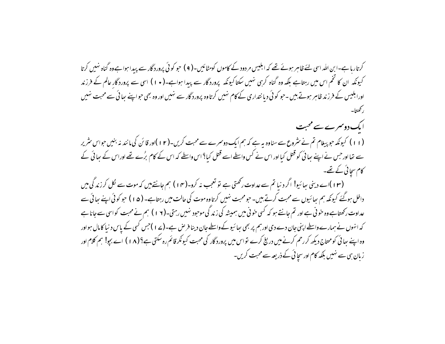کرتاریا ہے۔ابن الٹد اسی لئے ظاہر ہوئے تھے کہ ابلیس مر دود کے کاموں کومٹائیں۔( ۹ ) حبو کوئی پرورد گار سے پیدا ہواہےوہ گناہ نہیں کرتا کیونکہ ان کا تخم اس میں رہتاہے بلکہ وہ گناہ کرہی نہیں سکتاکیونکہ پروردگار سے پیدا ہواہے۔(• ۱ ) اسی سے پروردگار عالم کے فرزند اورابلیس کے فرزند ظاہر ہوتے بیں ۔حو کوئی دیا نتداری کے کام نہیں کرتاوہ پرورد گار سے نہیں اور وہ بھی حواپنے ہیا ئی سے محبت نہیں ر کھتا۔ ایک دوسمرے سے محبت (۱۱) کیونکہ حو پیغام تم نے مثروع سے سناوہ یہ ہے کہ ہم ایک دوسرے سے محبت کریں۔(۱۲)اور قائن کی مانند نہ بنیں حواس مثریر سے تھا اور حس نے اپنے ہیا ئی کو قتل کیا اور اس نے کس واسطے اسے قتل کیا؟ اس واسطے کہ اس کے کام برُے تھے اوراس کے ہیا ئی کے کام سجائی کے تھے۔ (۱۳)اے دینی سائیو! اگر دنیا تم سے عداوت رکھتی ہے تو تعجب نہ کرو۔(۱۴) ہم جانتے بیں کہ موت سے لکل کرزند گی میں داخل ہوگئے کیونکہ ہم ہیائیوں سے محبت کرتے ہیں۔ حومحبت نہیں کرتاوہ موت کی حالت میں رہتاہے۔ (۵۱) حو کوئی اپنے بھائی سے عداوت رکھتاہے وہ خونی ہے اور تم جانتے ہو کہ کسی خونی میں ہمیشہ کی زند گی موحود نہیں رہتی۔(۱۲) ہم نے محبت کواسی سے جانا ہے کہ انہوں نے ہمارے واسطے اپنی جان دے دی اور ہم پر بھی ہیا ئیو کے واسطے جان دینا فرص ہے۔(ے 1 )جس کسی کے پاس د نیا کامال ہواور وہ اپنے بھائی کومحتاج دیکھ کررحم کرنے میں درینے کرے تواس میں پرورد گار کی محبت کیونکر قائم رہ سکتی ہے؟ (۱۸) اے بجو! ہم کلام اور زبان ہی سے نہیں بلکہ کام اور سچائی کے ذریعہ سے محبت کریں۔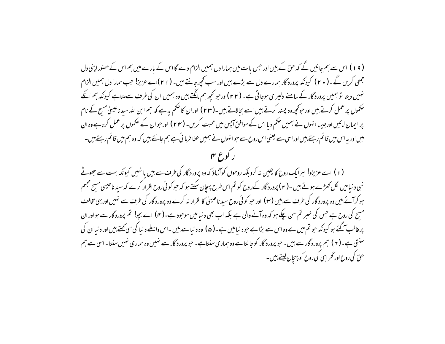( ۱۹) اس سے ہم جانیں گے کہ حق کے بیں اور حس یات میں ہمارا دل ہمیں الزام دے گا اس کے بارے میں ہم اس کے حصنور اپني دل جمعی کریں گے ۔( • ۲ ) کیونکہ پرورد گار ہمارے دل سے بڑے بیں اور سب کجھ جانتے بیں۔ ( ۱ ۲ )اے عزیز! جب ہمارا دل ہمیں الزام نہیں دیتا تو ہمیں پرورد گار کے سامنے دلپر ی ہوجاتی ہے۔ (۲۲)اورجو تحیّہ ہم مانگتے ہیں وہ ہمیں ان کی طرف سےملتاہے کیونکہ ہم انکے حکموں پر عمل کرتے ہیں اور حوکچھ وہ پسند کرتے ہیں اسے بحالاتے ہیں۔(۲۳ ) اوران کا حکم یہ ہے کہ ہم ابن الله سيد ناعيسلى مسح کے نام پر ایمان لائیں اورجیسا انہوں نے ہمیں حکم دیا اس کے موافق آپس میں محبت کریں۔ (۲۴) اورحوان کے حکموں پر عمل کرتاہے وہ ان میں اور یہ اس میں قائم رہتے ہیں اوراسی سے یعنی اس روح سے حوا نہوں نے ہمیں عطا فرما ئی ہے ہم جانتے ہیں کہ وہ ہم میں قائم رہتے ہیں۔ ا کوع م

(۱) اے عزیزو! ہرایک روح کا یقین نہ کروبلکہ روحوں کوآزماؤ کہ وہ پرورد گار کی طرف سے بیں یا نہیں کیونکہ بہت سے جھوٹے نبی د نیامیں لکل کھڑے ہوئے ہیں ۔( ۲ ) پرورد گار کےروح کو تم اس طرح پہچان سکتے ہو کہ حبو کو ئی روح اقرار کرے کہ سید ناعیسیٰ مسح مجسم ہو کر آئے بیں وہ پرورد گار کی طرف سے بیں (۳) اور حبو کوئی روح سید ناعیسیٰ کا اقرار نہ کرے وہ پرورد گار کی طرف سے نہیں اور یہی مخالف مسح کی روح ہے جس کی خسر تم سن چکے ہو کہ وہ آنے والی ہے بلکہ اب بھی د نیامیں موحود ہے۔(مہ) اے بچو! تم پرورد گار سے ہواور ان پرغالب آگئے ہو کیونکہ حو تم میں ہے وہ اس سے بڑا ہے حود نیامیں ہے۔(۵) وہ دنیا سے ہیں ۔اس واسطے دنیا کی سی کھتے ہیں اور دنیاان کی سنتی ہے۔( ۲ ) ہم پرورد گار سے بیں۔ حو پرورد گار کو جا نتا ہے وہ ہماری سنتاہے۔ حو پرورد گار سے نہیں وہ ہماری نہیں سنتا۔اسی سے ہم حق کی روح اور گھراہی کی روح کو پہچان لیتے ہیں۔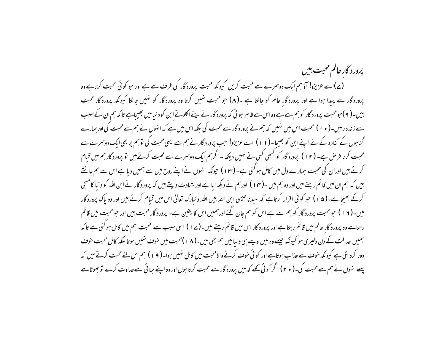پرورد گار عالم محبت، بیں (ے)اے عزیزو! آؤہم ایک دوسرے سے محبت کریں کیونکہ محبت پرورد گار کی طرف سے ہے اور حو کوئی محبت کرتاہے وہ پرورد گار سے پیدا ہوا ہے اور پرورد گار عالم کو جانتا ہے ۔(۸) جو محبت نہیں کرتا وہ پرورد گار کو نہیں جانتا کیونکہ پرورد گار محبت بیں۔( ۹ )حبومحبت پرورد گار کو ہم سے ہے وہ اس سے ظاہر ہو ئی کہ پرورد گار نے اپنے اکلوتے ابن کو د نیامیں بھیجاہے تا کہ ہم ان کے سبب سے زندہ رہیں۔( • ۱ ) محبت اس میں نہیں کہ ہم نے پرورد گار سے محبت کی بلکہ اس میں ہے کہ انہوں نے ہم سے محبت کی اور ہمارے گناہوں کے کفارہ کے لئے اپنے ابن کو بھیجا ۔(۱۱) اے عزیزو! حب پرورد گار نے ہم سے ایسی محبت کی توہم پر بھی ایک دوسمرے سے محبت کرنا فرص ہے۔ (۱۲) پرورد گار کو کسجی کسی نے نہیں دیکھا۔ اگرہم ایک دوسرے سے محبت کرتے ہیں تو پرورد گار ہم میں قبام کرتے ہیں اوران کی محبت ہمارے دل میں کامل ہو گئی ہے۔ (۱۳) حیونکہ انہوں نے اپنے روح میں سے ہمیں دیا ہے اس سے ہم جانتے بیں کہ ہم ان میں قائم رہتے ہیں اور وہ ہم میں ۔(۱۴ ) اورہم نے دیکھ لیا ہے اور شہادت دیتے ہیں کہ پرورد گار نے ابن الله كو د نیا كامنىچى کرکے بھیجا ہے۔(ھ۱) حو کوئی اقرار کرتاہے کہ سید ناعیسیٰ ابن اللہ بیں اللہ و تبارک تعالیٰ اس میں قیام کرتے بیں اور وہ پاک پرورد گار میں۔(۱۲) حبو محبت پرورد گار کو ہم سے ہے اس کو ہم جان گئے اور ہمیں اس کا یقین ہے۔ پرورد گار محبت بیں اور حبو محبت میں قائم رہتاہے وہ پرورد گار عالم میں قائم رہتاہے اور پرورد گار اس میں قائم رہتے ہیں۔(ے ا ) اسی سبب سے محبت ہم میں کامل ہو گئی ہے تا کہ ہمیں عدالت کے دن دلپری ہو کیونکہ جیسےوہ بیں ویسے ہی دنیامیں ہم بھی بیں۔(۱۸)محبت میں خوف نہیں ہوتا بلکہ کامل محبت خوف دور کردیتی ہے کیونکہ خوف سے عذاب ہوتاہے اور کوئی خوف کرنے والامحبت میں کامل نہیں ہوا۔( ۱۹) ہم اس لئے محبت کرتے ہیں کہ پہلے انہوں نے ہم سے محبت کی۔( • ۲) اگر کوئی تھے کہ میں پرورد گار سے محبت کرتا ہوں اور وہ اپنے ہیا ئی سے عداوت کرے توجھوٹا ہے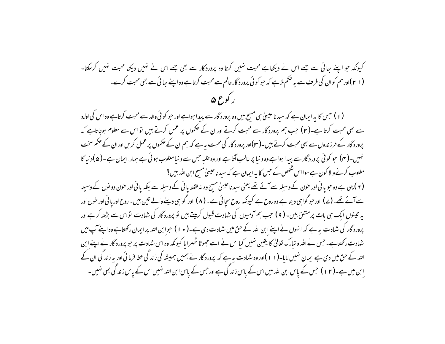کبونکہ حو اپنے بھائی سے جسے اس نے دیکھاہے محبت نہیں کرتا وہ پرورد گار سے بھی جسے اس نے نہیں دیکھا محبت نہیں کرسكتا۔ ( ۲۱)اورہم کوان کی طرف سے یہ صحم ملاہے کہ حبو کوئی پرورد گار عالم سے محبت کرتا ہے وہ اپنے ہعائی سے بھی محبت کرے۔ ر کورع ۵

(۱) جس کا یہ ایمان ہے کہ سید ناعیسیٰ ہی مسح بیں وہ پرورد گار سے پیدا ہواہے اور حو کوئی والد سے محبت کرتاہے وہ اس کی اولاد سے بھی محبت کرتا ہے۔( ۲ ) حب ہم پرورد گار سے محبت کرتے اوران کے صحموں پر عمل کرتے ہیں تو اس سے معلوم ہوجاتاہے کہ پرورد گار کے فرزندوں سے بھی محبت کرتے ہیں۔(۳)اور پرورد گار کی محبت یہ ہے کہ ہم ان کے صموں پر عمل کریں اوران کے صمم سخت نہیں۔( سی) حبو کوئی پرورد گار سے پیدا ہواہے وہ د نیا پر غالب آتا ہے اور وہ غلیہ حس سے د نیامغلوب ہوئی ہے ہماراایمان ہے۔( ۵ )د نیا کا مغلوب کرنے والا کون ہے سوااس شخص کے جس کا یہ ایمان ہے کہ سید ناعیسیٰ مسح ابن اللہ بیں ؟

( ۲ ) یہی ہے وہ حبو یا نی اور حون کے وسیلہ سے آئے تھے یعنی سید ناعیسیٰ مسح وہ نہ فقط یا نی کے وسیلہ سے بلکہ یا نی اور حون دو نوں کے وسیلہ سے آئے تھے۔( ۷) اور حو گواہی دیتا ہے وہ روح ہے کیونکہ روح سچائی ہے۔ (۸) اور گواہی دینے والے تین بیں۔ روح اور یا فی اور خون اور یہ تیننوں ایک ہی بات پر متفق ہیں۔ ( ۹ ) جب ہم آدمیوں کی شہادت قبول کرلیتے ہیں تو پرورد گار کی شہادت تواس سے بڑھ کرہے اور پرورد گار کی شہادت ہہ ہے کہ انہوں نے اپنے ابن اللہ کے حق میں شہادت دی ہے۔( • ۱ ) حوا بن اللہ پر ایمان رکھتاہے وہ اپنےآپ میں شہادت رکھتاہے۔جس نے اللہ و تبارک تعالیٰ کا یقین نہیں کیا اس نے اسے جھوٹا ٹھہرایا کیونکہ وہ اس شہادت پر حبو پرورد گار نے اپنے ابن اللہ کے حق میں دی ہے ایمان نہیں لایا-(۱۱)اور وہ شہادت یہ ہے کہ پرورد گار نے ہمیں ہمیشہ کی زند گی عطا فرما ئی اور بہ زند گی ان کے ا بن میں ہے۔( ۱۲ ) حس کے پاس ابن اللہ بیں اس کے پاس زند کی ہے اور حس کے پاس ابن اللہ نہیں اس کے پاس زند کی بھی نہیں۔